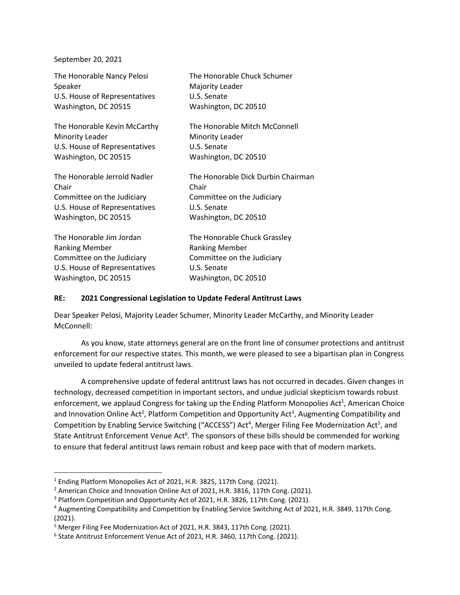September 20, 2021

| The Honorable Nancy Pelosi    | The Honorable Chuck Schumer        |
|-------------------------------|------------------------------------|
| Speaker                       | Majority Leader                    |
| U.S. House of Representatives | U.S. Senate                        |
| Washington, DC 20515          | Washington, DC 20510               |
| The Honorable Kevin McCarthy  | The Honorable Mitch McConnell      |
| <b>Minority Leader</b>        | <b>Minority Leader</b>             |
| U.S. House of Representatives | U.S. Senate                        |
| Washington, DC 20515          | Washington, DC 20510               |
| The Honorable Jerrold Nadler  | The Honorable Dick Durbin Chairman |
| Chair                         | Chair                              |
| Committee on the Judiciary    | Committee on the Judiciary         |
| U.S. House of Representatives | U.S. Senate                        |
| Washington, DC 20515          | Washington, DC 20510               |
| The Honorable Jim Jordan      | The Honorable Chuck Grassley       |
| <b>Ranking Member</b>         | <b>Ranking Member</b>              |
| Committee on the Judiciary    | Committee on the Judiciary         |
| U.S. House of Representatives | U.S. Senate                        |
| Washington, DC 20515          | Washington, DC 20510               |

## **RE: 2021 Congressional Legislation to Update Federal Antitrust Laws**

Dear Speaker Pelosi, Majority Leader Schumer, Minority Leader McCarthy, and Minority Leader McConnell:

As you know, state attorneys general are on the front line of consumer protections and antitrust enforcement for our respective states. This month, we were pleased to see a bipartisan plan in Congress unveiled to update federal antitrust laws.

A comprehensive update of federal antitrust laws has not occurred in decades. Given changes in technology, decreased competition in important sectors, and undue judicial skepticism towards robust enforcement, we applaud Congress for taking up the Ending Platform Monopolies Act<sup>1</sup>, American Choice and Innovation Online Act<sup>2</sup>, Platform Competition and Opportunity Act<sup>3</sup>, Augmenting Compatibility and Competition by Enabling Service Switching ("ACCESS") Act<sup>4</sup>, Merger Filing Fee Modernization Act<sup>5</sup>, and State Antitrust Enforcement Venue Act<sup>6</sup>. The sponsors of these bills should be commended for working to ensure that federal antitrust laws remain robust and keep pace with that of modern markets.

<sup>1</sup> Ending Platform Monopolies Act of 2021, H.R. 3825, 117th Cong. (2021).

<sup>&</sup>lt;sup>2</sup> American Choice and Innovation Online Act of 2021, H.R. 3816, 117th Cong. (2021).

<sup>&</sup>lt;sup>3</sup> Platform Competition and Opportunity Act of 2021, H.R. 3826, 117th Cong. (2021).

<sup>4</sup> Augmenting Compatibility and Competition by Enabling Service Switching Act of 2021, H.R. 3849, 117th Cong. (2021).

<sup>5</sup> Merger Filing Fee Modernization Act of 2021, H.R. 3843, 117th Cong. (2021).

<sup>6</sup> State Antitrust Enforcement Venue Act of 2021, H.R. 3460, 117th Cong. (2021).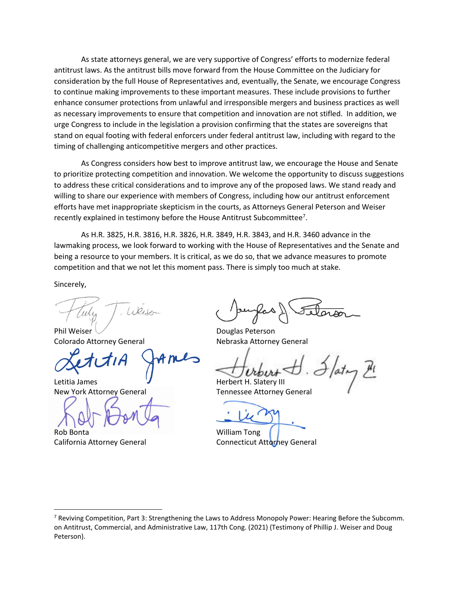As state attorneys general, we are very supportive of Congress' efforts to modernize federal antitrust laws. As the antitrust bills move forward from the House Committee on the Judiciary for consideration by the full House of Representatives and, eventually, the Senate, we encourage Congress to continue making improvements to these important measures. These include provisions to further enhance consumer protections from unlawful and irresponsible mergers and business practices as well as necessary improvements to ensure that competition and innovation are not stifled. In addition, we urge Congress to include in the legislation a provision confirming that the states are sovereigns that stand on equal footing with federal enforcers under federal antitrust law, including with regard to the timing of challenging anticompetitive mergers and other practices.

As Congress considers how best to improve antitrust law, we encourage the House and Senate to prioritize protecting competition and innovation. We welcome the opportunity to discuss suggestions to address these critical considerations and to improve any of the proposed laws. We stand ready and willing to share our experience with members of Congress, including how our antitrust enforcement efforts have met inappropriate skepticism in the courts, as Attorneys General Peterson and Weiser recently explained in testimony before the House Antitrust Subcommittee<sup>7</sup>.

As H.R. 3825, H.R. 3816, H.R. 3826, H.R. 3849, H.R. 3843, and H.R. 3460 advance in the lawmaking process, we look forward to working with the House of Representatives and the Senate and being a resource to your members. It is critical, as we do so, that we advance measures to promote competition and that we not let this moment pass. There is simply too much at stake.

Sincerely,

 $(1)Q_{1}e_{r}$ 

Phil Weiser Communication Communication Douglas Peterson Colorado Attorney General Nebraska Attorney General

Letitia James **V** Herbert H. Slatery III

Rob Bonta William Tong

New York Attorney General New York Attorney General

California Attorney General **Connecticut Attorney General** 

<sup>&</sup>lt;sup>7</sup> Reviving Competition, Part 3: Strengthening the Laws to Address Monopoly Power: Hearing Before the Subcomm. on Antitrust, Commercial, and Administrative Law, 117th Cong. (2021) (Testimony of Phillip J. Weiser and Doug Peterson).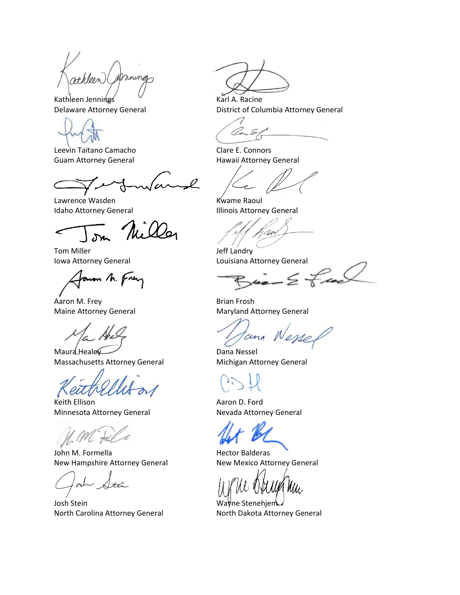ming athleen

Kathleen Jennings Karl A. Racine

Leevin Taitano Camacho Charles Clare E. Connors

 $\mathscr{L}$ 

Lawrence Wasden Kwame Raoul Idaho Attorney General **Illinois Attorney General** 

Miller

Tom Miller **Jeff Landry** 

anon M. Frey

Aaron M. Frey **Brian Frosh** 

Maura Healey **Dana Nessel** Massachusetts Attorney General Michigan Attorney General

Keith Ellison **Aaron D. Ford Aaron D. Ford** Minnesota Attorney General Nevada Attorney General

 $\mathcal{C}$ .

John M. Formella **Hector Balderas** New Hampshire Attorney General New Mexico Attorney General

Josh Stein Wayne Stenehjem North Carolina Attorney General North Dakota Attorney General

Delaware Attorney General **District of Columbia Attorney General** 

Guam Attorney General **Hawaii Attorney General** 

Iowa Attorney General Louisiana Attorney General<br>Agaven h. Frey

Maine Attorney General Maryland Attorney General